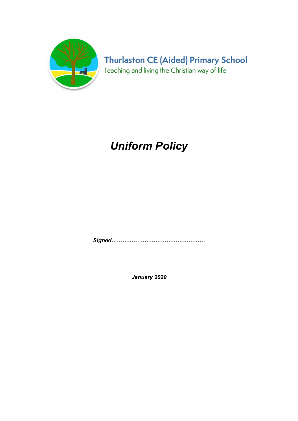

**Thurlaston CE (Aided) Primary School** Teaching and living the Christian way of life

## Uniform Policy

Signed……………………………………………

January 2020